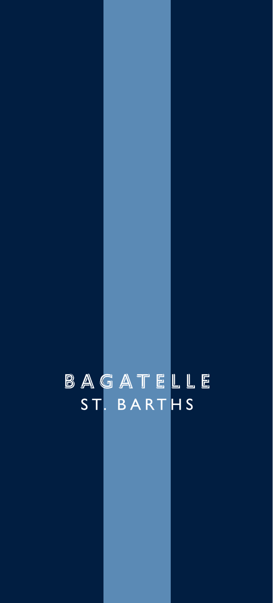# BAGATELLE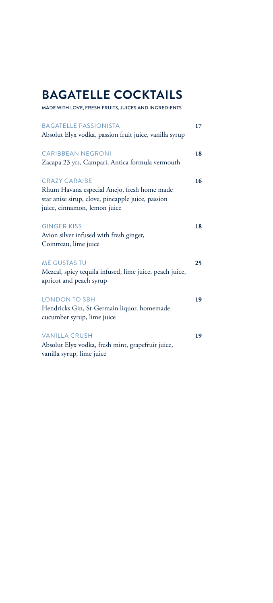# **BAGATELLE COCKTAILS**

MADE WITH LOVE, FRESH FRUITS, JUICES AND INGREDIENTS

| <b>BAGATELLE PASSIONISTA</b><br>Absolut Elyx vodka, passion fruit juice, vanilla syrup                                                                   | 17 |
|----------------------------------------------------------------------------------------------------------------------------------------------------------|----|
| <b>CARIBBEAN NEGRONI</b><br>Zacapa 23 yrs, Campari, Antica formula vermouth                                                                              | 18 |
| <b>CRAZY CARAIBE</b><br>Rhum Havana especial Anejo, fresh home made<br>star anise sirup, clove, pineapple juice, passion<br>juice, cinnamon, lemon juice | 16 |
| <b>GINGER KISS</b><br>Avion silver infused with fresh ginger,<br>Cointreau, lime juice                                                                   | 18 |
| <b>ME GUSTAS TU</b><br>Mezcal, spicy tequila infused, lime juice, peach juice,<br>apricot and peach syrup                                                | 25 |
| <b>LONDON TO SBH</b><br>Hendricks Gin, St-Germain liquor, homemade<br>cucumber syrup, lime juice                                                         | 19 |
| <b>VANILLA CRUSH</b><br>Absolut Elyx vodka, fresh mint, grapefruit juice,<br>vanilla syrup, lime juice                                                   | 19 |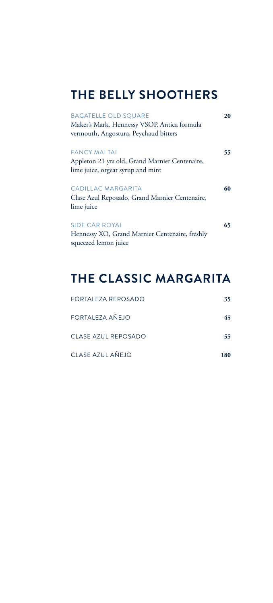#### **THE BELLY SHOOTHERS**

| <b>BAGATELLE OLD SQUARE</b><br>Maker's Mark, Hennessy VSOP, Antica formula                                 | 20 |
|------------------------------------------------------------------------------------------------------------|----|
| vermouth, Angostura, Peychaud bitters                                                                      |    |
| <b>FANCY MALTAL</b><br>Appleton 21 yrs old, Grand Marnier Centenaire,<br>lime juice, orgeat syrup and mint | 55 |
| CADILLAC MARGARITA<br>Clase Azul Reposado, Grand Marnier Centenaire,<br>lime juice                         | 60 |
| SIDE CAR ROYAL<br>Hennessy XO, Grand Marnier Centenaire, freshly<br>squeezed lemon juice                   | 65 |

# **THE CLASSIC MARGARITA**

| FORTAL F7A REPOSADO | 35. |
|---------------------|-----|
| FORTALEZA AÑEJO     | 45  |
| CLASE AZUL REPOSADO | 55. |
| CLASE AZUL AÑEJO    | 180 |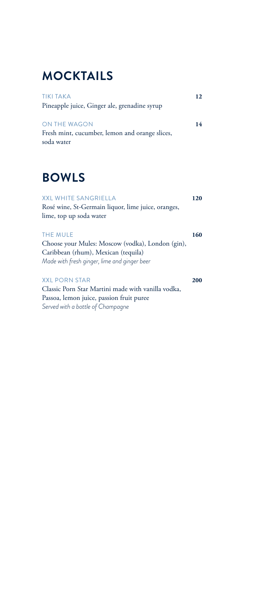# **MOCKTAILS**

| <b>TIKI TAKA</b>                               | 12. |
|------------------------------------------------|-----|
| Pineapple juice, Ginger ale, grenadine syrup   |     |
|                                                |     |
| ON THE WAGON                                   | 14  |
| Fresh mint, cucumber, lemon and orange slices, |     |
| soda water                                     |     |

#### **BOWLS**

| <b>XXL WHITE SANGRIELLA</b>                        | 120 |
|----------------------------------------------------|-----|
| Rosé wine, St-Germain liquor, lime juice, oranges, |     |
| lime, top up soda water                            |     |
|                                                    |     |
| <b>THE MULE</b>                                    | 160 |
| Choose your Mules: Moscow (vodka), London (gin),   |     |
| Caribbean (rhum), Mexican (tequila)                |     |
| Made with fresh ginger, lime and ginger beer       |     |
| <b>XXI PORN STAR</b>                               | 200 |
| Classic Porn Star Martini made with vanilla vodka, |     |
| Passoa, lemon juice, passion fruit puree           |     |
| Served with a bottle of Champagne                  |     |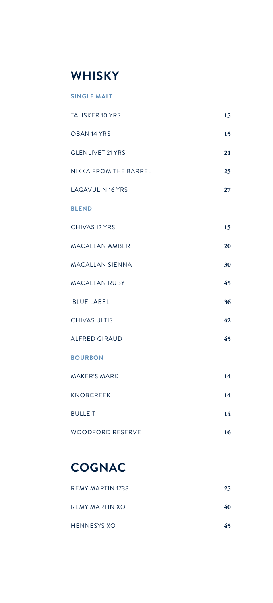#### **WHISKY**

| <b>SINGLE MALT</b>           |    |
|------------------------------|----|
| <b>TALISKER 10 YRS</b>       | 15 |
| OBAN 14 YRS                  | 15 |
| <b>GLENLIVET 21 YRS</b>      | 21 |
| <b>NIKKA FROM THE BARREL</b> | 25 |
| <b>LAGAVULIN 16 YRS</b>      | 27 |
| <b>BLEND</b>                 |    |
| CHIVAS 12 YRS                | 15 |
| <b>MACALLAN AMBER</b>        | 20 |
| <b>MACALLAN SIENNA</b>       | 30 |
| <b>MACALLAN RUBY</b>         | 45 |
| <b>BLUE LABEL</b>            | 36 |
| <b>CHIVAS ULTIS</b>          | 42 |
| <b>ALFRED GIRAUD</b>         | 45 |
| <b>BOURBON</b>               |    |
| <b>MAKER'S MARK</b>          | 14 |
| <b>KNOBCREEK</b>             | 14 |
| <b>BULLEIT</b>               | 14 |
| <b>WOODFORD RESERVE</b>      | 16 |

# **COGNAC**

| REMY MARTIN 1738 | 25 |
|------------------|----|
| REMY MARTIN XO   | 40 |
| HENNESYS XO      | 45 |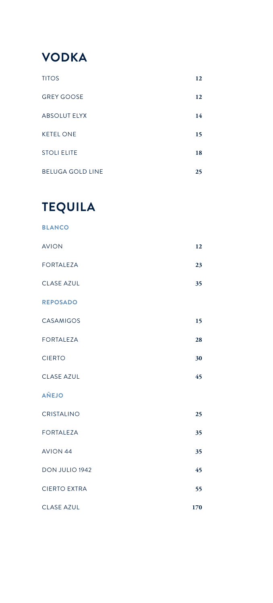

| <b>TITOS</b>            | 12 |
|-------------------------|----|
| <b>GREY GOOSE</b>       | 12 |
| <b>ABSOLUT ELYX</b>     | 14 |
| <b>KETEL ONE</b>        | 15 |
| <b>STOLI ELITE</b>      | 18 |
| <b>BELUGA GOLD LINE</b> | 25 |

## **TEQUILA**

| <b>BLANCO</b>     |  |    |
|-------------------|--|----|
| <b>AVION</b>      |  | 12 |
| <b>FORTALEZA</b>  |  | 23 |
| <b>CLASE AZUL</b> |  | 35 |
| <b>REPOSADO</b>   |  |    |
| CASAMIGOS         |  | 15 |
|                   |  |    |

- FORTALEZA **28** CIERTO **30**
- CLASE AZUL **45**

**AÑEJO**

- CRISTALINO **25**
- FORTALEZA **35**
- AVION 44 **35** DON JULIO 1942 **45**
- CIERTO EXTRA **55** CLASE AZUL **170**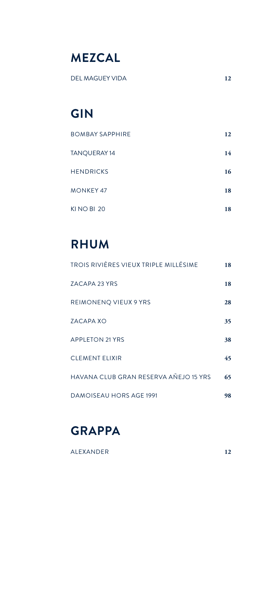## **MEZCAL**

DEL MAGUEY VIDA **12**

### **GIN**

| <b>BOMBAY SAPPHIRE</b> | 12 |
|------------------------|----|
| TANQUERAY 14           | 14 |
| <b>HENDRICKS</b>       | 16 |
| <b>MONKEY 47</b>       | 18 |
| KINO BI 20             | 18 |

## **RHUM**

| TROIS RIVIÈRES VIEUX TRIPLE MILLÉSIME | 18 |
|---------------------------------------|----|
| ZACAPA 23 YRS                         | 18 |
| REIMONENQ VIEUX 9 YRS                 | 28 |
| ZACAPA XO                             | 35 |
| <b>APPLETON 21 YRS</b>                | 38 |
| <b>CLEMENT ELIXIR</b>                 | 45 |
| HAVANA CLUB GRAN RESERVA AÑEJO 15 YRS | 65 |
| <b>DAMOISEAU HORS AGE 1991</b>        | 98 |



ALEXANDER **12**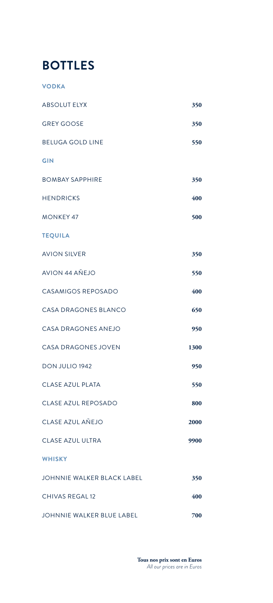#### **BOTTLES**

**VODKA**

| <b>ABSOLUT ELYX</b>        | 350  |
|----------------------------|------|
| <b>GREY GOOSE</b>          | 350  |
| <b>BELUGA GOLD LINE</b>    | 550  |
| <b>GIN</b>                 |      |
| <b>BOMBAY SAPPHIRE</b>     | 350  |
| <b>HENDRICKS</b>           | 400  |
| <b>MONKEY 47</b>           | 500  |
| <b>TEQUILA</b>             |      |
| <b>AVION SILVER</b>        | 350  |
| <b>AVION 44 AŇEJO</b>      | 550  |
| <b>CASAMIGOS REPOSADO</b>  | 400  |
| CASA DRAGONES BLANCO       | 650  |
| <b>CASA DRAGONES ANEJO</b> | 950  |
| <b>CASA DRAGONES JOVEN</b> | 1300 |
| DON JULIO 1942             | 950  |
| <b>CLASE AZUL PLATA</b>    | 550  |
| CLASE AZUL REPOSADO        | 800  |
| CLASE AZUL AŇEJO           | 2000 |
| <b>CLASE AZUL ULTRA</b>    | 9900 |
| <b>WHISKY</b>              |      |
| JOHNNIE WALKER BLACK LABEL | 350  |
| CHIVAS REGAL 12            | 400  |
| JOHNNIE WALKER BLUE LABEL  | 700  |